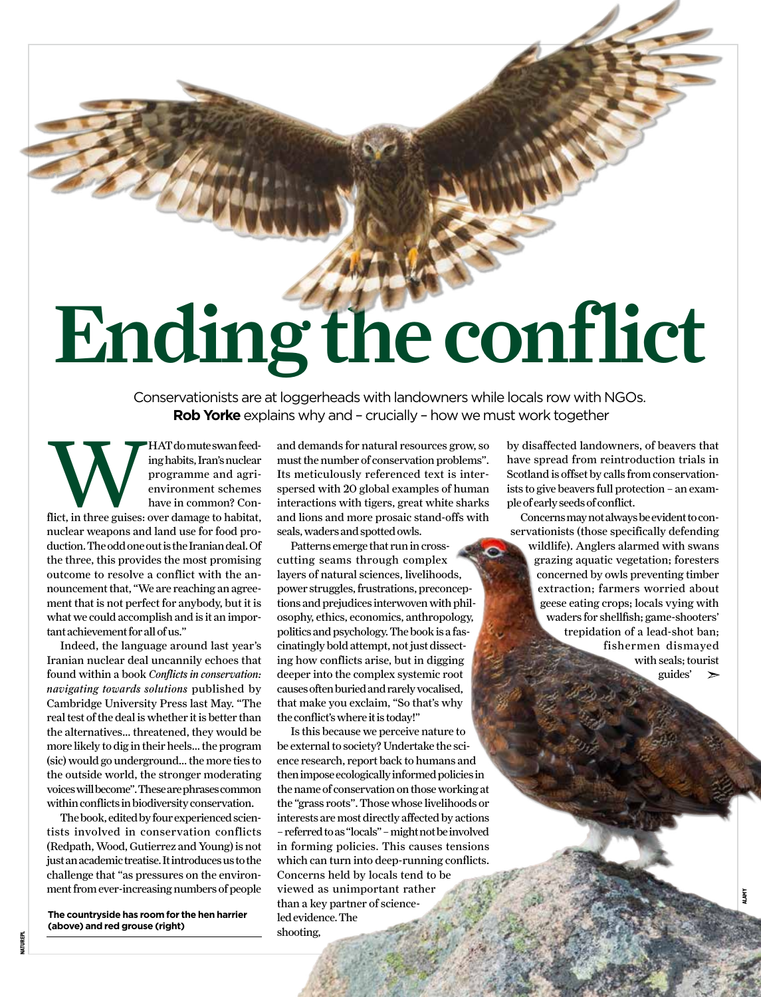## Ending the conflict

Conservationists are at loggerheads with landowners while locals row with NGOs. **Rob Yorke** explains why and – crucially – how we must work together

MAT do mute swan feed-<br>ing habits, Iran's nuclear<br>programme and agri-<br>environment schemes<br>flict, in three guises: over damage to habitat, ing habits, Iran's nuclear programme and agrienvironment schemes have in common? Connuclear weapons and land use for food production. The odd one out is the Iranian deal. Of the three, this provides the most promising outcome to resolve a conflict with the announcement that, "We are reaching an agreement that is not perfect for anybody, but it is what we could accomplish and is it an important achievement for all of us."

Indeed, the language around last year's Iranian nuclear deal uncannily echoes that found within a book *Conflicts in conservation: navigating towards solutions* published by Cambridge University Press last May. "The real test of the deal is whether it is better than the alternatives… threatened, they would be more likely to dig in their heels… the program (sic) would go underground… the more ties to the outside world, the stronger moderating voices will become". These are phrases common within conflicts in biodiversity conservation.

The book, edited by four experienced scientists involved in conservation conflicts (Redpath, Wood, Gutierrez and Young) is not just an academic treatise. It introduces us to the challenge that "as pressures on the environment from ever-increasing numbers of people

**The countryside has room for the hen harrier (above) and red grouse (right)**

and demands for natural resources grow, so must the number of conservation problems". Its meticulously referenced text is interspersed with 20 global examples of human interactions with tigers, great white sharks and lions and more prosaic stand-offs with seals, waders and spotted owls.

Patterns emerge that run in crosscutting seams through complex layers of natural sciences, livelihoods, power struggles, frustrations, preconceptions and prejudices interwoven with philosophy, ethics, economics, anthropology, politics and psychology. The book is a fascinatingly bold attempt, not just dissecting how conflicts arise, but in digging deeper into the complex systemic root causes often buried and rarely vocalised, that make you exclaim, "So that's why the conflict's where it is today!"

Is this because we perceive nature to be external to society? Undertake the science research, report back to humans and then impose ecologically informed policies in the name of conservation on those working at the "grass roots". Those whose livelihoods or interests are most directly affected by actions – referred to as "locals" – might not be involved in forming policies. This causes tensions which can turn into deep-running conflicts. Concerns held by locals tend to be viewed as unimportant rather than a key partner of scienceled evidence. The shooting,

by disaffected landowners, of beavers that have spread from reintroduction trials in Scotland is offset by calls from conservationists to give beavers full protection – an example of early seeds of conflict.

Concerns may not always be evident to conservationists (those specifically defending wildlife). Anglers alarmed with swans grazing aquatic vegetation; foresters concerned by owls preventing timber extraction; farmers worried about geese eating crops; locals vying with waders for shellfish; game-shooters' trepidation of a lead-shot ban; fishermen dismayed with seals; tourist guides'

**ALAMY**

www.thefield.com was well as a community of